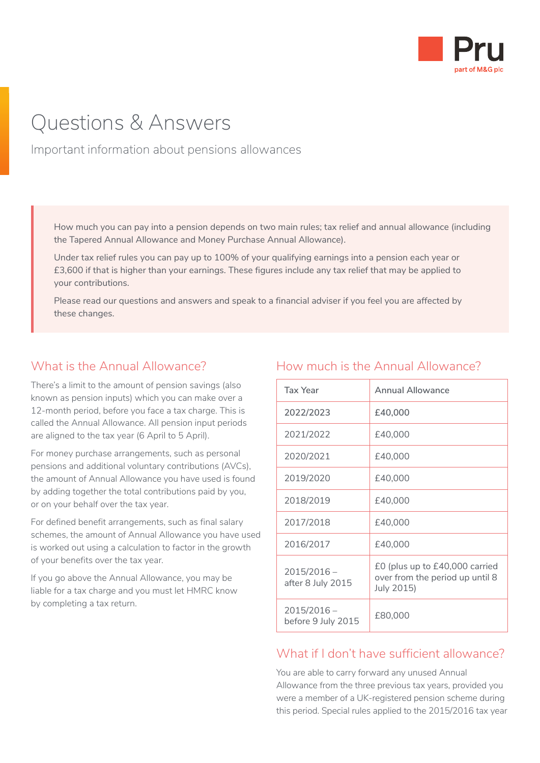

# Questions & Answers

Important information about pensions allowances

How much you can pay into a pension depends on two main rules; tax relief and annual allowance (including the Tapered Annual Allowance and Money Purchase Annual Allowance).

Under tax relief rules you can pay up to 100% of your qualifying earnings into a pension each year or £3,600 if that is higher than your earnings. These figures include any tax relief that may be applied to your contributions.

Please read our questions and answers and speak to a financial adviser if you feel you are affected by these changes.

#### What is the Annual Allowance?

There's a limit to the amount of pension savings (also known as pension inputs) which you can make over a 12-month period, before you face a tax charge. This is called the Annual Allowance. All pension input periods are aligned to the tax year (6 April to 5 April).

For money purchase arrangements, such as personal pensions and additional voluntary contributions (AVCs), the amount of Annual Allowance you have used is found by adding together the total contributions paid by you, or on your behalf over the tax year.

For defined benefit arrangements, such as final salary schemes, the amount of Annual Allowance you have used is worked out using a calculation to factor in the growth of your benefits over the tax year.

If you go above the Annual Allowance, you may be liable for a tax charge and you must let HMRC know by completing a tax return.

#### How much is the Annual Allowance?

| <b>Tax Year</b>                     | <b>Annual Allowance</b>                                                         |
|-------------------------------------|---------------------------------------------------------------------------------|
| 2022/2023                           | £40,000                                                                         |
| 2021/2022                           | £40,000                                                                         |
| 2020/2021                           | £40,000                                                                         |
| 2019/2020                           | £40,000                                                                         |
| 2018/2019                           | £40,000                                                                         |
| 2017/2018                           | £40,000                                                                         |
| 2016/2017                           | £40,000                                                                         |
| $2015/2016 -$<br>after 8 July 2015  | £0 (plus up to £40,000 carried<br>over from the period up until 8<br>July 2015) |
| $2015/2016 -$<br>before 9 July 2015 | £80,000                                                                         |

#### What if I don't have sufficient allowance?

You are able to carry forward any unused Annual Allowance from the three previous tax years, provided you were a member of a UK-registered pension scheme during this period. Special rules applied to the 2015/2016 tax year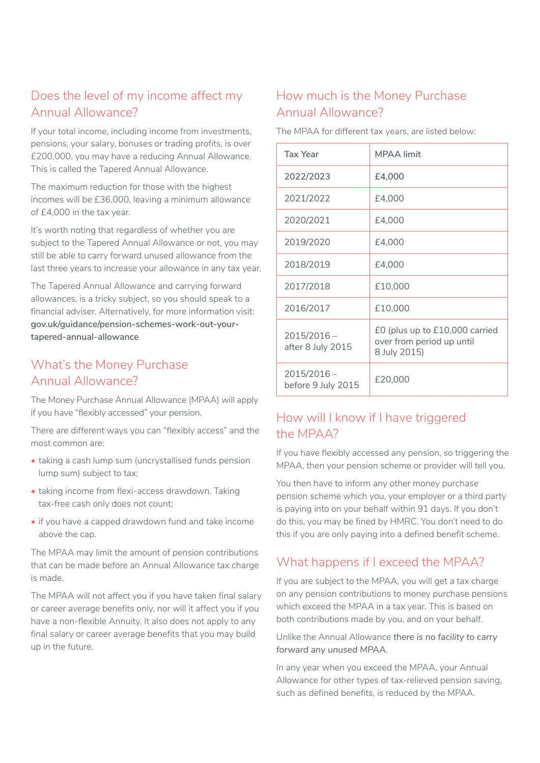# Does the level of my income affect my Annual Allowance?

If your total income, including income from investments, pensions, your salary, bonuses or trading profits, is over £200,000, you may have a reducing Annual Allowance. This is called the Tapered Annual Allowance.

The maximum reduction for those with the highest incomes will be £36,000, leaving a minimum allowance of £4,000 in the tax year.

It's worth noting that regardless of whether you are subject to the Tapered Annual Allowance or not, you may still be able to carry forward unused allowance from the last three years to increase your allowance in any tax year.

The Tapered Annual Allowance and carrying forward allowances, is a tricky subject, so you should speak to a financial adviser. Alternatively, for more information visit: **[gov.uk/guidance/pension-schemes-work-out-your](https://www.gov.uk/guidance/pension-schemes-work-out-your-tapered-annual-allowance)[tapered-annual-allowance](https://www.gov.uk/guidance/pension-schemes-work-out-your-tapered-annual-allowance)**

#### What's the Money Purchase Annual Allowance?

The Money Purchase Annual Allowance (MPAA) will apply if you have "flexibly accessed" your pension.

There are different ways you can "flexibly access" and the most common are:

- taking a cash lump sum (uncrystallised funds pension lump sum) subject to tax;
- taking income from flexi-access drawdown. Taking tax-free cash only does not count;
- if you have a capped drawdown fund and take income above the cap.

The MPAA may limit the amount of pension contributions that can be made before an Annual Allowance tax charge is made.

The MPAA will not affect you if you have taken final salary or career average benefits only, nor will it affect you if you have a non-flexible Annuity. It also does not apply to any final salary or career average benefits that you may build up in the future.

## How much is the Money Purchase Annual Allowance?

The MPAA for different tax years, are listed below:

| <b>Tax Year</b>                     | <b>MPAA</b> limit                                                           |
|-------------------------------------|-----------------------------------------------------------------------------|
| 2022/2023                           | £4,000                                                                      |
| 2021/2022                           | £4,000                                                                      |
| 2020/2021                           | £4,000                                                                      |
| 2019/2020                           | £4,000                                                                      |
| 2018/2019                           | £4,000                                                                      |
| 2017/2018                           | £10,000                                                                     |
| 2016/2017                           | £10,000                                                                     |
| $2015/2016 -$<br>after 8 July 2015  | £0 (plus up to £10,000 carried<br>over from period up until<br>8 July 2015) |
| $2015/2016 -$<br>before 9 July 2015 | £20,000                                                                     |

## How will I know if I have triggered the MPAA?

If you have flexibly accessed any pension, so triggering the MPAA, then your pension scheme or provider will tell you.

You then have to inform any other money purchase pension scheme which you, your employer or a third party is paying into on your behalf within 91 days. If you don't do this, you may be fined by HMRC. You don't need to do this if you are only paying into a defined benefit scheme.

# What happens if I exceed the MPAA?

If you are subject to the MPAA, you will get a tax charge on any pension contributions to money purchase pensions which exceed the MPAA in a tax year. This is based on both contributions made by you, and on your behalf.

Unlike the Annual Allowance *there is no facility to carry forward any unused MPAA*.

In any year when you exceed the MPAA, your Annual Allowance for other types of tax-relieved pension saving, such as defined benefits, is reduced by the MPAA.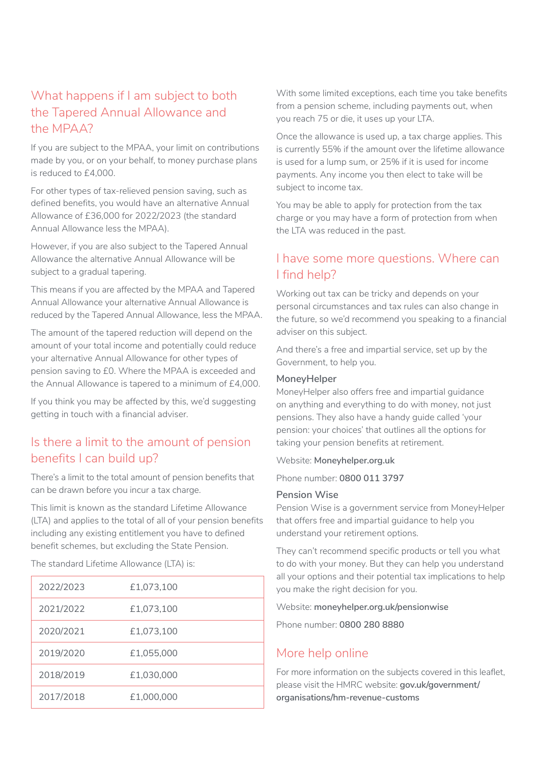# What happens if I am subject to both the Tapered Annual Allowance and the MPAA?

If you are subject to the MPAA, your limit on contributions made by you, or on your behalf, to money purchase plans is reduced to £4,000.

For other types of tax-relieved pension saving, such as defined benefits, you would have an alternative Annual Allowance of £36,000 for 2022/2023 (the standard Annual Allowance less the MPAA).

However, if you are also subject to the Tapered Annual Allowance the alternative Annual Allowance will be subject to a gradual tapering.

This means if you are affected by the MPAA and Tapered Annual Allowance your alternative Annual Allowance is reduced by the Tapered Annual Allowance, less the MPAA.

The amount of the tapered reduction will depend on the amount of your total income and potentially could reduce your alternative Annual Allowance for other types of pension saving to £0. Where the MPAA is exceeded and the Annual Allowance is tapered to a minimum of £4,000.

If you think you may be affected by this, we'd suggesting getting in touch with a financial adviser.

#### Is there a limit to the amount of pension benefits I can build up?

There's a limit to the total amount of pension benefits that can be drawn before you incur a tax charge.

This limit is known as the standard Lifetime Allowance (LTA) and applies to the total of all of your pension benefits including any existing entitlement you have to defined benefit schemes, but excluding the State Pension.

The standard Lifetime Allowance (LTA) is:

| 2022/2023 | £1,073,100 |
|-----------|------------|
| 2021/2022 | £1,073,100 |
| 2020/2021 | £1,073,100 |
| 2019/2020 | £1,055,000 |
| 2018/2019 | £1,030,000 |
| 2017/2018 | £1,000,000 |

With some limited exceptions, each time you take benefits from a pension scheme, including payments out, when you reach 75 or die, it uses up your LTA.

Once the allowance is used up, a tax charge applies. This is currently 55% if the amount over the lifetime allowance is used for a lump sum, or 25% if it is used for income payments. Any income you then elect to take will be subject to income tax.

You may be able to apply for protection from the tax charge or you may have a form of protection from when the LTA was reduced in the past.

#### I have some more questions. Where can I find help?

Working out tax can be tricky and depends on your personal circumstances and tax rules can also change in the future, so we'd recommend you speaking to a financial adviser on this subject.

And there's a free and impartial service, set up by the Government, to help you.

#### **MoneyHelper**

MoneyHelper also offers free and impartial guidance on anything and everything to do with money, not just pensions. They also have a handy guide called 'your pension: your choices' that outlines all the options for taking your pension benefits at retirement.

Website: **[Moneyhelper.org.uk](http://Moneyhelper.org.uk)**

#### Phone number: **0800 011 3797**

#### **Pension Wise**

Pension Wise is a government service from MoneyHelper that offers free and impartial guidance to help you understand your retirement options.

They can't recommend specific products or tell you what to do with your money. But they can help you understand all your options and their potential tax implications to help you make the right decision for you.

Website: **[moneyhelper.org.uk/pensionwise](http://moneyhelper.org.uk/pensionwise)**

Phone number: **0800 280 8880**

#### More help online

For more information on the subjects covered in this leaflet, please visit the HMRC website: **[gov.uk/government/](https://www.gov.uk/government/organisations/hm-revenue-customs) [organisations/hm-revenue-customs](https://www.gov.uk/government/organisations/hm-revenue-customs)**